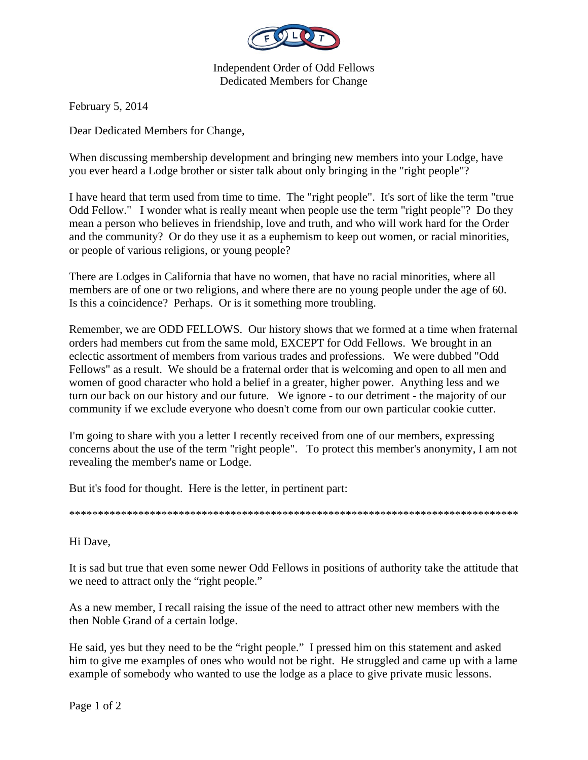

Independent Order of Odd Fellows Dedicated Members for Change

February 5, 2014

Dear Dedicated Members for Change,

When discussing membership development and bringing new members into your Lodge, have you ever heard a Lodge brother or sister talk about only bringing in the "right people"?

I have heard that term used from time to time. The "right people". It's sort of like the term "true Odd Fellow." I wonder what is really meant when people use the term "right people"? Do they mean a person who believes in friendship, love and truth, and who will work hard for the Order and the community? Or do they use it as a euphemism to keep out women, or racial minorities, or people of various religions, or young people?

There are Lodges in California that have no women, that have no racial minorities, where all members are of one or two religions, and where there are no young people under the age of 60. Is this a coincidence? Perhaps. Or is it something more troubling.

Remember, we are ODD FELLOWS. Our history shows that we formed at a time when fraternal orders had members cut from the same mold, EXCEPT for Odd Fellows. We brought in an eclectic assortment of members from various trades and professions. We were dubbed "Odd Fellows" as a result. We should be a fraternal order that is welcoming and open to all men and women of good character who hold a belief in a greater, higher power. Anything less and we turn our back on our history and our future. We ignore - to our detriment - the majority of our community if we exclude everyone who doesn't come from our own particular cookie cutter.

I'm going to share with you a letter I recently received from one of our members, expressing concerns about the use of the term "right people". To protect this member's anonymity, I am not revealing the member's name or Lodge.

But it's food for thought. Here is the letter, in pertinent part:

\*\*\*\*\*\*\*\*\*\*\*\*\*\*\*\*\*\*\*\*\*\*\*\*\*\*\*\*\*\*\*\*\*\*\*\*\*\*\*\*\*\*\*\*\*\*\*\*\*\*\*\*\*\*\*\*\*\*\*\*\*\*\*\*\*\*\*\*\*\*\*\*\*\*\*\*\*\*

Hi Dave,

It is sad but true that even some newer Odd Fellows in positions of authority take the attitude that we need to attract only the "right people."

As a new member, I recall raising the issue of the need to attract other new members with the then Noble Grand of a certain lodge.

He said, yes but they need to be the "right people." I pressed him on this statement and asked him to give me examples of ones who would not be right. He struggled and came up with a lame example of somebody who wanted to use the lodge as a place to give private music lessons.